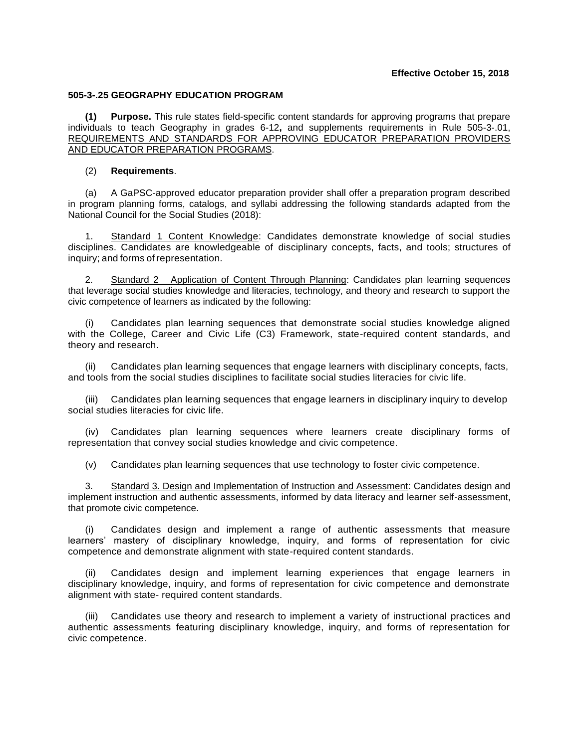## **505-3-.25 GEOGRAPHY EDUCATION PROGRAM**

**(1) Purpose.** This rule states field-specific content standards for approving programs that prepare individuals to teach Geography in grades 6-12**,** and supplements requirements in Rule 505-3-.01, REQUIREMENTS AND STANDARDS FOR APPROVING EDUCATOR PREPARATION PROVIDERS AND EDUCATOR PREPARATION PROGRAMS.

## (2) **Requirements**.

(a) A GaPSC-approved educator preparation provider shall offer a preparation program described in program planning forms, catalogs, and syllabi addressing the following standards adapted from the National Council for the Social Studies (2018):

1. Standard 1 Content Knowledge: Candidates demonstrate knowledge of social studies disciplines. Candidates are knowledgeable of disciplinary concepts, facts, and tools; structures of inquiry; and forms of representation.

2. Standard 2 Application of Content Through Planning: Candidates plan learning sequences that leverage social studies knowledge and literacies, technology, and theory and research to support the civic competence of learners as indicated by the following:

Candidates plan learning sequences that demonstrate social studies knowledge aligned with the College, Career and Civic Life (C3) Framework, state-required content standards, and theory and research.

(ii) Candidates plan learning sequences that engage learners with disciplinary concepts, facts, and tools from the social studies disciplines to facilitate social studies literacies for civic life.

(iii) Candidates plan learning sequences that engage learners in disciplinary inquiry to develop social studies literacies for civic life.

(iv) Candidates plan learning sequences where learners create disciplinary forms of representation that convey social studies knowledge and civic competence.

(v) Candidates plan learning sequences that use technology to foster civic competence.

3. Standard 3. Design and Implementation of Instruction and Assessment: Candidates design and implement instruction and authentic assessments, informed by data literacy and learner self-assessment, that promote civic competence.

(i) Candidates design and implement a range of authentic assessments that measure learners' mastery of disciplinary knowledge, inquiry, and forms of representation for civic competence and demonstrate alignment with state-required content standards.

Candidates design and implement learning experiences that engage learners in disciplinary knowledge, inquiry, and forms of representation for civic competence and demonstrate alignment with state- required content standards.

(iii) Candidates use theory and research to implement a variety of instructional practices and authentic assessments featuring disciplinary knowledge, inquiry, and forms of representation for civic competence.